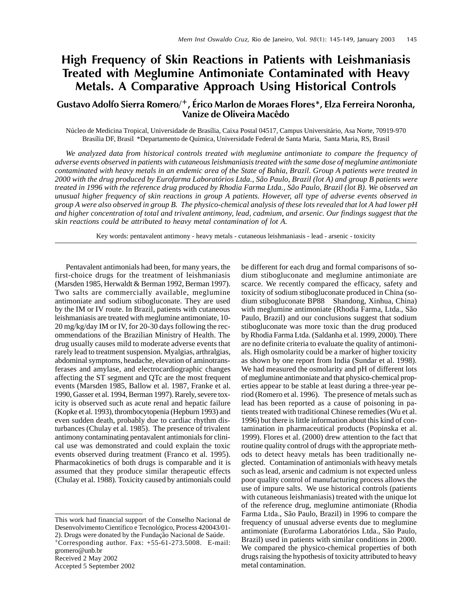# High Frequency of Skin Reactions in Patients with Leishmaniasis Treated with Meglumine Antimoniate Contaminated with Heavy Metals. A Comparative Approach Using Historical Controls

# Gustavo Adolfo Sierra Romero/+, Érico Marlon de Moraes Flores\*, Elza Ferreira Noronha, Vanize de Oliveira Macêdo

Núcleo de Medicina Tropical, Universidade de Brasília, Caixa Postal 04517, Campus Universitário, Asa Norte, 70919-970 Brasília DF, Brasil \*Departamento de Química, Universidade Federal de Santa Maria, Santa Maria, RS, Brasil

*We analyzed data from historical controls treated with meglumine antimoniate to compare the frequency of adverse events observed in patients with cutaneous leishmaniasis treated with the same dose of meglumine antimoniate contaminated with heavy metals in an endemic area of the State of Bahia, Brazil. Group A patients were treated in 2000 with the drug produced by Eurofarma Laboratórios Ltda., São Paulo, Brazil (lot A) and group B patients were treated in 1996 with the reference drug produced by Rhodia Farma Ltda., São Paulo, Brazil (lot B). We observed an unusual higher frequency of skin reactions in group A patients. However, all type of adverse events observed in group A were also observed in group B. The physico-chemical analysis of these lots revealed that lot A had lower pH and higher concentration of total and trivalent antimony, lead, cadmium, and arsenic. Our findings suggest that the skin reactions could be attributed to heavy metal contamination of lot A.*

Key words: pentavalent antimony - heavy metals - cutaneous leishmaniasis - lead - arsenic - toxicity

Pentavalent antimonials had been, for many years, the first-choice drugs for the treatment of leishmaniasis (Marsden 1985, Herwaldt & Berman 1992, Berman 1997). Two salts are commercially available, meglumine antimoniate and sodium stibogluconate. They are used by the IM or IV route. In Brazil, patients with cutaneous leishmaniasis are treated with meglumine antimoniate, 10- 20 mg/kg/day IM or IV, for 20-30 days following the recommendations of the Brazilian Ministry of Health. The drug usually causes mild to moderate adverse events that rarely lead to treatment suspension. Myalgias, arthralgias, abdominal symptoms, headache, elevation of aminotransferases and amylase, and electrocardiographic changes affecting the ST segment and QTc are the most frequent events (Marsden 1985, Ballow et al. 1987, Franke et al. 1990, Gasser et al. 1994, Berman 1997). Rarely, severe toxicity is observed such as acute renal and hepatic failure (Kopke et al. 1993), thrombocytopenia (Hepburn 1993) and even sudden death, probably due to cardiac rhythm disturbances (Chulay et al. 1985). The presence of trivalent antimony contaminating pentavalent antimonials for clinical use was demonstrated and could explain the toxic events observed during treatment (Franco et al. 1995). Pharmacokinetics of both drugs is comparable and it is assumed that they produce similar therapeutic effects (Chulay et al. 1988). Toxicity caused by antimonials could

Received 2 May 2002

Accepted 5 September 2002

be different for each drug and formal comparisons of sodium stibogluconate and meglumine antimoniate are scarce. We recently compared the efficacy, safety and toxicity of sodium stibogluconate produced in China (sodium stibogluconate BP88<sup>®</sup> Shandong, Xinhua, China) with meglumine antimoniate (Rhodia Farma, Ltda., São Paulo, Brazil) and our conclusions suggest that sodium stibogluconate was more toxic than the drug produced by Rhodia Farma Ltda. (Saldanha et al. 1999, 2000). There are no definite criteria to evaluate the quality of antimonials. High osmolarity could be a marker of higher toxicity as shown by one report from India (Sundar et al. 1998). We had measured the osmolarity and pH of different lots of meglumine antimoniate and that physico-chemical properties appear to be stable at least during a three-year period (Romero et al. 1996). The presence of metals such as lead has been reported as a cause of poisoning in patients treated with traditional Chinese remedies (Wu et al. 1996) but there is little information about this kind of contamination in pharmaceutical products (Popinska et al. 1999). Flores et al. (2000) drew attention to the fact that routine quality control of drugs with the appropriate methods to detect heavy metals has been traditionally neglected. Contamination of antimonials with heavy metals such as lead, arsenic and cadmium is not expected unless poor quality control of manufacturing process allows the use of impure salts. We use historical controls (patients with cutaneous leishmaniasis) treated with the unique lot of the reference drug, meglumine antimoniate (Rhodia Farma Ltda., São Paulo, Brazil) in 1996 to compare the frequency of unusual adverse events due to meglumine antimoniate (Eurofarma Laboratórios Ltda., São Paulo, Brazil) used in patients with similar conditions in 2000. We compared the physico-chemical properties of both drugs raising the hypothesis of toxicity attributed to heavy metal contamination.

This work had financial support of the Conselho Nacional de Desenvolvimento Científico e Tecnológico, Process 420043/01- 2). Drugs were donated by the Fundação Nacional de Saúde.

 $+$ Corresponding author. Fax:  $+55-61-273.5008$ . E-mail: gromero@unb.br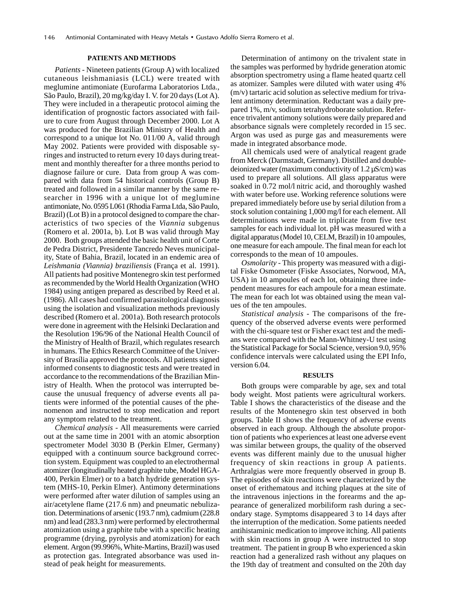# **PATIENTS AND METHODS**

*Patients -* Nineteen patients (Group A) with localized cutaneous leishmaniasis (LCL) were treated with meglumine antimoniate (Eurofarma Laboratorios Ltda., São Paulo, Brazil), 20 mg/kg/day I. V. for 20 days (Lot A). They were included in a therapeutic protocol aiming the identification of prognostic factors associated with failure to cure from August through December 2000. Lot A was produced for the Brazilian Ministry of Health and correspond to a unique lot No. 011/00 A, valid through May 2002. Patients were provided with disposable syringes and instructed to return every 10 days during treatment and monthly thereafter for a three months period to diagnose failure or cure. Data from group A was compared with data from 54 historical controls (Group B) treated and followed in a similar manner by the same researcher in 1996 with a unique lot of meglumine antimoniate, No. 0595 L061 (Rhodia Farma Ltda, São Paulo, Brazil) (Lot B) in a protocol designed to compare the characteristics of two species of the *Viannia* subgenus (Romero et al. 2001a, b). Lot B was valid through May 2000. Both groups attended the basic health unit of Corte de Pedra District, Presidente Tancredo Neves municipality, State of Bahia, Brazil, located in an endemic area of *Leishmania (Viannia) braziliensis* (França et al. 1991). All patients had positive Montenegro skin test performed as recommended by the World Health Organization (WHO 1984) using antigen prepared as described by Reed et al. (1986). All cases had confirmed parasitological diagnosis using the isolation and visualization methods previously described (Romero et al. 2001a). Both research protocols were done in agreement with the Helsinki Declaration and the Resolution 196/96 of the National Health Council of the Ministry of Health of Brazil, which regulates research in humans. The Ethics Research Committee of the University of Brasília approved the protocols. All patients signed informed consents to diagnostic tests and were treated in accordance to the recommendations of the Brazilian Ministry of Health. When the protocol was interrupted because the unusual frequency of adverse events all patients were informed of the potential causes of the phenomenon and instructed to stop medication and report any symptom related to the treatment.

*Chemical analysis -* All measurements were carried out at the same time in 2001 with an atomic absorption spectrometer Model 3030 B (Perkin Elmer, Germany) equipped with a continuum source background correction system. Equipment was coupled to an electrothermal atomizer (longitudinally heated graphite tube, Model HGA-400, Perkin Elmer) or to a batch hydride generation system (MHS-10, Perkin Elmer). Antimony determinations were performed after water dilution of samples using an air/acetylene flame (217.6 nm) and pneumatic nebulization. Determinations of arsenic (193.7 nm), cadmium (228.8 nm) and lead (283.3 nm) were performed by electrothermal atomization using a graphite tube with a specific heating programme (drying, pyrolysis and atomization) for each element. Argon (99.996%, White-Martins, Brazil) was used as protection gas. Integrated absorbance was used instead of peak height for measurements.

Determination of antimony on the trivalent state in the samples was performed by hydride generation atomic absorption spectrometry using a flame heated quartz cell as atomizer. Samples were diluted with water using 4% (m/v) tartaric acid solution as selective medium for trivalent antimony determination. Reductant was a daily prepared 1%, m/v, sodium tetrahydroborate solution. Reference trivalent antimony solutions were daily prepared and absorbance signals were completely recorded in 15 sec. Argon was used as purge gas and measurements were made in integrated absorbance mode.

All chemicals used were of analytical reagent grade from Merck (Darmstadt, Germany). Distilled and doubledeionized water (maximum conductivity of 1.2 µS/cm) was used to prepare all solutions. All glass apparatus were soaked in 0.72 mol/l nitric acid, and thoroughly washed with water before use. Working reference solutions were prepared immediately before use by serial dilution from a stock solution containing 1,000 mg/l for each element. All determinations were made in triplicate from five test samples for each individual lot. pH was measured with a digital apparatus (Model 10, CELM, Brazil) in 10 ampoules, one measure for each ampoule. The final mean for each lot corresponds to the mean of 10 ampoules.

*Osmolarity -* This property was measured with a digital Fiske Osmometer (Fiske Associates, Norwood, MA, USA) in 10 ampoules of each lot, obtaining three independent measures for each ampoule for a mean estimate. The mean for each lot was obtained using the mean values of the ten ampoules.

*Statistical analysis* - The comparisons of the frequency of the observed adverse events were performed with the chi-square test or Fisher exact test and the medians were compared with the Mann-Whitney-U test using the Statistical Package for Social Science, version 9.0, 95% confidence intervals were calculated using the EPI Info, version 6.04.

# **RESULTS**

Both groups were comparable by age, sex and total body weight. Most patients were agricultural workers. Table I shows the characteristics of the disease and the results of the Montenegro skin test observed in both groups. Table II shows the frequency of adverse events observed in each group. Although the absolute proportion of patients who experiences at least one adverse event was similar between groups, the quality of the observed events was different mainly due to the unusual higher frequency of skin reactions in group A patients. Arthralgias were more frequently observed in group B. The episodes of skin reactions were characterized by the onset of erithematous and itching plaques at the site of the intravenous injections in the forearms and the appearance of generalized morbiliform rash during a secondary stage. Symptoms disappeared 3 to 14 days after the interruption of the medication. Some patients needed antihistaminic medication to improve itching. All patients with skin reactions in group A were instructed to stop treatment. The patient in group B who experienced a skin reaction had a generalized rash without any plaques on the 19th day of treatment and consulted on the 20th day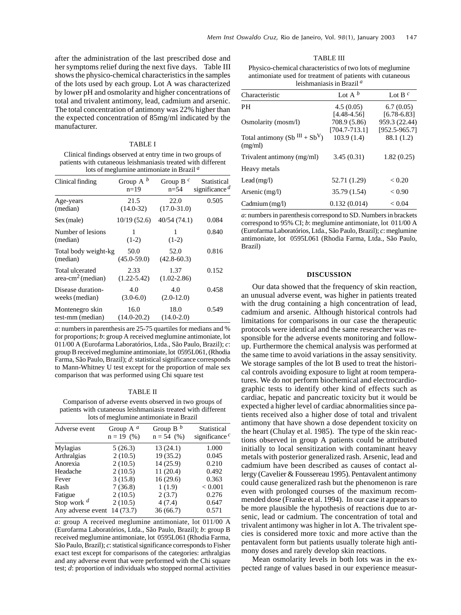after the administration of the last prescribed dose and her symptoms relief during the next five days. Table III shows the physico-chemical characteristics in the samples of the lots used by each group. Lot A was characterized by lower pH and osmolarity and higher concentrations of total and trivalent antimony, lead, cadmium and arsenic. The total concentration of antimony was 22% higher than the expected concentration of 85mg/ml indicated by the manufacturer.

# TABLE I

Clinical findings observed at entry time in two groups of patients with cutaneous leishmaniasis treated with different lots of meglumine antimoniate in Brazil *<sup>a</sup>*

| Clinical finding              | Group A $^b$    | Group B $^c$    | Statistical      |
|-------------------------------|-----------------|-----------------|------------------|
|                               | $n=19$          | $n = 54$        | significance $d$ |
| Age-years                     | 21.5            | 22.0            | 0.505            |
| (median)                      | $(14.0-32)$     | $(17.0 - 31.0)$ |                  |
| Sex (male)                    | 10/19(52.6)     | 40/54(74.1)     | 0.084            |
| Number of lesions             | 1               | 1               | 0.840            |
| (median)                      | $(1-2)$         | $(1-2)$         |                  |
| Total body weight-kg          | 50.0            | 52.0            | 0.816            |
| (median)                      | $(45.0 - 59.0)$ | $(42.8 - 60.3)$ |                  |
| Total ulcerated               | 2.33            | 1.37            | 0.152            |
| area-cm <sup>2</sup> (median) | $(1.22 - 5.42)$ | $(1.02 - 2.86)$ |                  |
| Disease duration-             | 4.0             | 4.0             | 0.458            |
| weeks (median)                | $(3.0-6.0)$     | $(2.0-12.0)$    |                  |
| Montenegro skin               | 16.0            | 18.0            | 0.549            |
| test-mm (median)              | $(14.0 - 20.2)$ | $(14.0 - 2.0)$  |                  |

*a*: numbers in parenthesis are 25-75 quartiles for medians and % for proportions; *b*: group A received meglumine antimoniate, lot 011/00 A (Eurofarma Laboratórios, Ltda., São Paulo, Brazil); *c*: group B received meglumine antimoniate, lot 0595L061, (Rhodia Farma, São Paulo, Brazil); *d*: statistical significance corresponds to Mann-Whitney U test except for the proportion of male sex comparison that was performed using Chi square test

## TABLE II

Comparison of adverse events observed in two groups of patients with cutaneous leishmaniasis treated with different lots of meglumine antimoniate in Brazil

| Adverse event     | Group A $^a$<br>$n = 19$ (%) | Group B $^b$<br>$n = 54$ (%) | Statistical<br>significance $c$ |
|-------------------|------------------------------|------------------------------|---------------------------------|
| Mylagias          | 5(26.3)                      | 13(24.1)                     | 1.000                           |
| Arthralgias       | 2(10.5)                      | 19(35.2)                     | 0.045                           |
| Anorexia          | 2(10.5)                      | 14(25.9)                     | 0.210                           |
| Headache          | 2(10.5)                      | 11(20.4)                     | 0.492                           |
| Fever             | 3(15.8)                      | 16(29.6)                     | 0.363                           |
| Rash              | 7(36.8)                      | 1(1.9)                       | < 0.001                         |
| Fatigue           | 2(10.5)                      | 2(3.7)                       | 0.276                           |
| Stop work $d$     | 2(10.5)                      | 4(7.4)                       | 0.647                           |
| Any adverse event | 14 (73.7)                    | 36(66.7)                     | 0.571                           |

*a*: group A received meglumine antimoniate, lot 011/00 A (Eurofarma Laboratórios, Ltda., São Paulo, Brazil); *b*: group B received meglumine antimoniate, lot 0595L061 (Rhodia Farma, São Paulo, Brazil); *c*: statistical significance corresponds to Fisher exact test except for comparisons of the categories: arthralgias and any adverse event that were performed with the Chi square test; *d*: proportion of individuals who stopped normal activities

TABLE III Physico-chemical characteristics of two lots of meglumine

antimoniate used for treatment of patients with cutaneous leishmaniasis in Brazil *<sup>a</sup>*

| Characteristic                                            | Lot A $^b$      | Lot B $^c$        |
|-----------------------------------------------------------|-----------------|-------------------|
| PН                                                        | 4.5(0.05)       | 6.7(0.05)         |
|                                                           | $[4.48 - 4.56]$ | $[6.78 - 6.83]$   |
| Osmolarity (mosm/l)                                       | 708.9 (5.86)    | 959.3 (22.44)     |
|                                                           | [704.7-713.1]   | $[952.5 - 965.7]$ |
| Total antimony $(Sb$ <sup>III</sup> + $Sb^V$ )<br>(mg/ml) | 103.9(1.4)      | 88.1 (1.2)        |
| Trivalent antimony (mg/ml)                                | 3.45(0.31)      | 1.82(0.25)        |
| Heavy metals                                              |                 |                   |
| Lead $(mg/l)$                                             | 52.71 (1.29)    | ${}_{< 0.20}$     |
| Arsenic (mg/l)                                            | 35.79 (1.54)    | < 0.90            |
| Cadmium (mg/l)                                            | 0.132(0.014)    | < 0.04            |

*a*: numbers in parenthesis correspond to SD. Numbers in brackets correspond to 95% CI; *b*: meglumine antimoniate, lot 011/00 A (Eurofarma Laboratórios, Ltda., São Paulo, Brazil); *c*: meglumine antimoniate, lot 0595L061 (Rhodia Farma, Ltda., São Paulo, Brazil)

## **DISCUSSION**

Our data showed that the frequency of skin reaction, an unusual adverse event, was higher in patients treated with the drug containing a high concentration of lead, cadmium and arsenic. Although historical controls had limitations for comparisons in our case the therapeutic protocols were identical and the same researcher was responsible for the adverse events monitoring and followup. Furthermore the chemical analysis was performed at the same time to avoid variations in the assay sensitivity. We storage samples of the lot B used to treat the historical controls avoiding exposure to light at room temperatures. We do not perform biochemical and electrocardiographic tests to identify other kind of effects such as cardiac, hepatic and pancreatic toxicity but it would be expected a higher level of cardiac abnormalities since patients received also a higher dose of total and trivalent antimony that have shown a dose dependent toxicity on the heart (Chulay et al. 1985). The type of the skin reactions observed in group A patients could be attributed initially to local sensitization with contaminant heavy metals with posterior generalized rash. Arsenic, lead and cadmium have been described as causes of contact allergy (Cavelier & Foussereau 1995). Pentavalent antimony could cause generalized rash but the phenomenon is rare even with prolonged courses of the maximum recommended dose (Franke et al. 1994). In our case it appears to be more plausible the hypothesis of reactions due to arsenic, lead or cadmium. The concentration of total and trivalent antimony was higher in lot A. The trivalent species is considered more toxic and more active than the pentavalent form but patients usually tolerate high antimony doses and rarely develop skin reactions.

Mean osmolarity levels in both lots was in the expected range of values based in our experience measur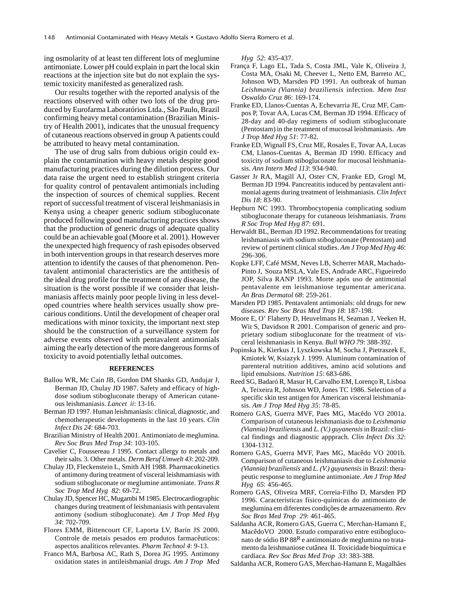ing osmolarity of at least ten different lots of meglumine antimoniate. Lower pH could explain in part the local skin reactions at the injection site but do not explain the systemic toxicity manifested as generalized rash.

Our results together with the reported analysis of the reactions observed with other two lots of the drug produced by Eurofarma Laboratórios Ltda., São Paulo, Brazil confirming heavy metal contamination (Brazilian Ministry of Health 2001)*,* indicates that the unusual frequency of cutaneous reactions observed in group A patients could be attributed to heavy metal contamination.

The use of drug salts from dubious origin could explain the contamination with heavy metals despite good manufacturing practices during the dilution process. Our data raise the urgent need to establish stringent criteria for quality control of pentavalent antimonials including the inspection of sources of chemical supplies. Recent report of successful treatment of visceral leishmaniasis in Kenya using a cheaper generic sodium stibogluconate produced following good manufacturing practices shows that the production of generic drugs of adequate quality could be an achievable goal (Moore et al. 2001). However the unexpected high frequency of rash episodes observed in both intervention groups in that research deserves more attention to identify the causes of that phenomenon. Pentavalent antimonial characteristics are the antithesis of the ideal drug profile for the treatment of any disease, the situation is the worst possible if we consider that leishmaniasis affects mainly poor people living in less developed countries where health services usually show precarious conditions. Until the development of cheaper oral medications with minor toxicity, the important next step should be the construction of a surveillance system for adverse events observed with pentavalent antimonials aiming the early detection of the more dangerous forms of toxicity to avoid potentially lethal outcomes.

#### **REFERENCES**

- Ballou WR, Mc Cain JB, Gordon DM Shanks GD, Andujar J, Berman JD, Chulay JD 1987. Safety and efficacy of highdose sodium stibogluconate therapy of American cutaneous leishmaniasis. *Lancet ii*: 13-16.
- Berman JD 1997. Human leishmaniasis: clinical, diagnostic, and chemotherapeutic developments in the last 10 years. *Clin Infect Dis 24*: 684-703.
- Brazilian Ministry of Health 2001. Antimoniato de meglumina. *Rev Soc Bras Med Trop 34*: 103-105.
- Cavelier C, Foussereau J 1995. Contact allergy to metals and their salts. 3. Other metals. *Derm Beruf Umwelt 43*: 202-209.
- Chulay JD, Fleckenstein L, Smith AH 1988. Pharmacokinetics of antimony during treatment of visceral leishmamiasis with sodium stibogluconate or meglumine antimoniate. *Trans R Soc Trop Med Hyg 82*: 69-72.
- Chulay JD, Spencer HC, Mugambi M 1985. Electrocardiographic changes during treatment of leishmaniasis with pentavalent antimony (sodium stibogluconate). *Am J Trop Med Hyg 34*: 702-709.
- Flores EMM, Bittencourt CF, Laporta LV, Barin JS 2000. Controle de metais pesados em produtos farmacêuticos: aspectos analíticos relevantes. *Pharm Technol 4*: 9-13.
- Franco MA, Barbosa AC, Rath S, Dorea JG 1995. Antimony oxidation states in antileishmanial drugs. *Am J Trop Med*

*Hyg 52*: 435-437.

- França F, Lago EL, Tada S, Costa JML, Vale K, Oliveira J, Costa MA, Osaki M, Cheever L, Netto EM, Barreto AC, Johnson WD, Marsden PD 1991. An outbreak of human *Leishmania (Viannia) braziliensis* infection. *Mem Inst Oswaldo Cruz 86*: 169-174.
- Franke ED, Llanos-Cuentas A, Echevarria JE, Cruz MF, Campos P, Tovar AA, Lucas CM, Berman JD 1994. Efficacy of 28-day and 40-day regimens of sodium stibogluconate (Pentostam) in the treatment of mucosal leishmaniasis. *Am J Trop Med Hyg 51*: 77-82.
- Franke ED, Wignall FS, Cruz ME, Rosales E, Tovar AA, Lucas CM, Llanos-Cuentas A, Berman JD 1990. Efficacy and toxicity of sodium stibogluconate for mucosal leishmaniasis. *Ann Intern Med 113*: 934-940.
- Gasser Jr RA, Magill AJ, Oster CN, Franke ED, Grogl M, Berman JD 1994. Pancreatitis induced by pentavalent antimonial agents during treatment of leishmaniasis. *Clin Infect Dis 18*: 83-90.
- Hepburn NC 1993. Thrombocytopenia complicating sodium stibogluconate therapy for cutaneous leishmaniasis. *Trans R Soc Trop Med Hyg 87*: 691.
- Herwaldt BL, Berman JD 1992. Recommendations for treating leishmaniasis with sodium stibogluconate (Pentostam) and review of pertinent clinical studies. *Am J Trop Med Hyg 46*: 296-306.
- Kopke LFF, Café MSM, Neves LB, Scherrer MAR, Machado-Pinto J, Souza MSLA, Vale ES, Andrade ARC, Figueiredo JOP, Silva RANP 1993. Morte após uso de antimonial pentavalente em leishmaniose tegumentar americana. *An Bras Dermatol 68*: 259-261.
- Marsden PD 1985. Pentavalent antimonials: old drugs for new diseases. *Rev Soc Bras Med Trop 18*: 187-198.
- Moore E, O' Flaherty D, Heuvelmans H, Seaman J, Veeken H, Wit S, Davidson R 2001. Comparison of generic and proprietary sodium stibogluconate for the treatment of visceral leishmaniasis in Kenya. *Bull WHO 79*: 388-392.
- Popinska K, Kierkus J, Lyszkowska M, Socha J, Pietraszek E, Kmiotek W, Ksiazyk J. 1999. Aluminum contamination of parenteral nutrition additives, amino acid solutions and lipid emulsions. *Nutrition 15*: 683-686.
- Reed SG, Badaró R, Masur H, Carvalho EM, Lorenço R, Lisboa A, Teixeira R, Johnson WD, Jones TC 1986. Selection of a specific skin test antigen for American visceral leishmaniasis. *Am J Trop Med Hyg 35*: 78-85.
- Romero GAS, Guerra MVF, Paes MG, Macêdo VO 2001a. Comparison of cutaneous leishmaniasis due to *Leishmania (Viannia) braziliensis* and *L. (V.) guyanensis* in Brazil: clinical findings and diagnostic appprach. *Clin Infect Dis 32*: 1304-1312.
- Romero GAS, Guerra MVF, Paes MG, Macêdo VO 2001b. Comparison of cutaneous leishmaniasis due to *Leishmania (Viannia) braziliensis* and *L. (V.) guyanensis* in Brazil: therapeutic response to meglumine antimoniate. *Am J Trop Med Hyg 65*: 456-465.
- Romero GAS, Oliveira MRF, Correia-Filho D, Marsden PD 1996. Características físico-químicas do antimoniato de meglumina em diferentes condições de armazenamento. *Rev Soc Bras Med Trop 29*: 461-465.
- Saldanha ACR, Romero GAS, Guerra C, Merchan-Hamann E, MacêdoVO 2000. Estudo comparativo entre estibogluconato de sódio BP 88R e antimoniato de meglumina no tratamento da leishmaniose cutânea II. Toxicidade bioquímica e cardíaca. *Rev Soc Bras Med Trop 33*: 383-388.
- Saldanha ACR, Romero GAS, Merchan-Hamann E, Magalhães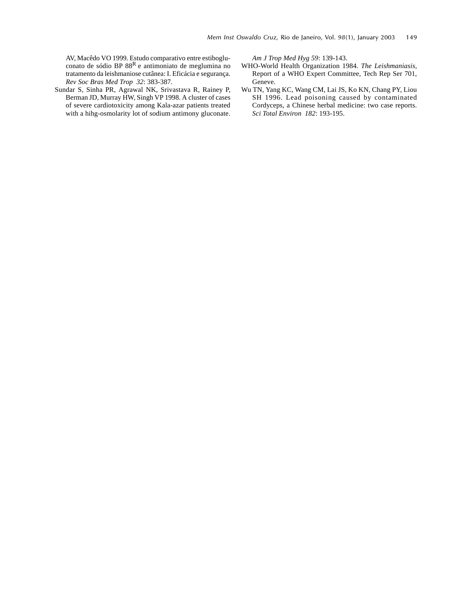AV, Macêdo VO 1999. Estudo comparativo entre estibogluconato de sódio BP 88R e antimoniato de meglumina no tratamento da leishmaniose cutânea: I. Eficácia e segurança. *Rev Soc Bras Med Trop 32*: 383-387*.*

Sundar S, Sinha PR, Agrawal NK, Srivastava R, Rainey P, Berman JD, Murray HW, Singh VP 1998. A cluster of cases of severe cardiotoxicity among Kala-azar patients treated with a hihg-osmolarity lot of sodium antimony gluconate. *Am J Trop Med Hyg 59*: 139-143.

- WHO-World Health Organization 1984. *The Leishmaniasis,* Report of a WHO Expert Committee, Tech Rep Ser 701, Geneve.
- Wu TN, Yang KC, Wang CM, Lai JS, Ko KN, Chang PY, Liou SH 1996. Lead poisoning caused by contaminated Cordyceps, a Chinese herbal medicine: two case reports. *Sci Total Environ 182*: 193-195.